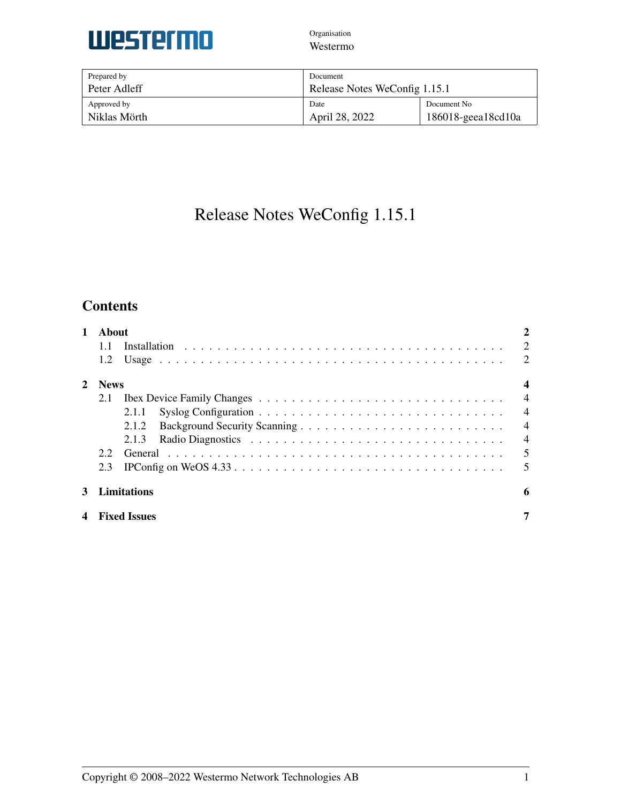

| Prepared by  | Document                      |                          |
|--------------|-------------------------------|--------------------------|
| Peter Adleff | Release Notes WeConfig 1.15.1 |                          |
| Approved by  | Date                          | Document No              |
| Niklas Mörth | April 28, 2022                | $186018$ -geea $18cd10a$ |

# Release Notes WeConfig 1.15.1

# **Contents**

| 1 | About<br>11<br>1.2 |                     | 2<br>2<br>2    |
|---|--------------------|---------------------|----------------|
| 2 | <b>News</b>        |                     |                |
|   | 2.1                |                     | $\overline{4}$ |
|   |                    | 2.1.1               | $\overline{4}$ |
|   |                    | 2.1.2               | $\overline{4}$ |
|   |                    | 2.1.3               | $\overline{4}$ |
|   | 22                 |                     | 5              |
|   | 2.3                |                     | 5              |
| 3 |                    | Limitations         | 6              |
| 4 |                    | <b>Fixed Issues</b> | 7              |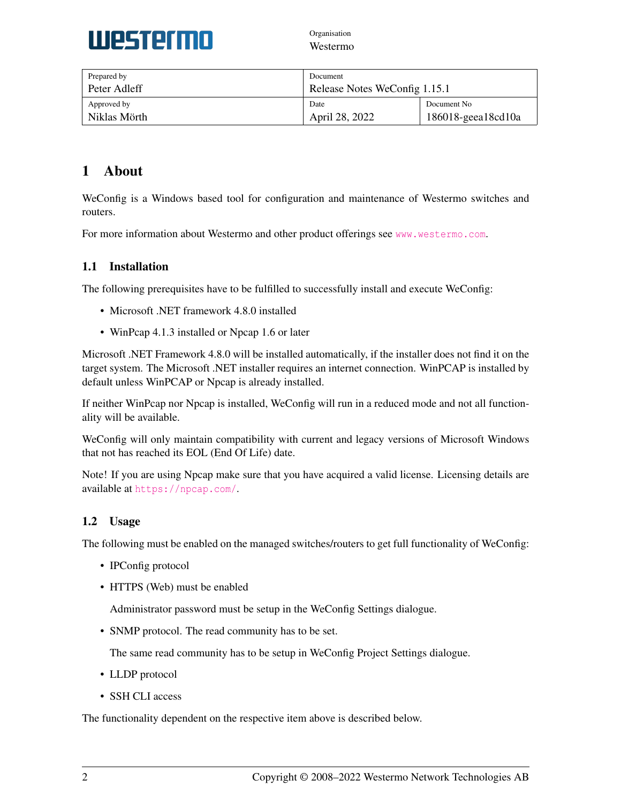

| Prepared by  | Document                      |                          |
|--------------|-------------------------------|--------------------------|
| Peter Adleff | Release Notes WeConfig 1.15.1 |                          |
| Approved by  | Date                          | Document No              |
| Niklas Mörth | April 28, 2022                | $186018$ -geea $18cd10a$ |

# <span id="page-1-0"></span>1 About

WeConfig is a Windows based tool for configuration and maintenance of Westermo switches and routers.

For more information about Westermo and other product offerings see <www.westermo.com>.

## <span id="page-1-1"></span>1.1 Installation

The following prerequisites have to be fulfilled to successfully install and execute WeConfig:

- Microsoft .NET framework 4.8.0 installed
- WinPcap 4.1.3 installed or Npcap 1.6 or later

Microsoft .NET Framework 4.8.0 will be installed automatically, if the installer does not find it on the target system. The Microsoft .NET installer requires an internet connection. WinPCAP is installed by default unless WinPCAP or Npcap is already installed.

If neither WinPcap nor Npcap is installed, WeConfig will run in a reduced mode and not all functionality will be available.

WeConfig will only maintain compatibility with current and legacy versions of Microsoft Windows that not has reached its EOL (End Of Life) date.

Note! If you are using Npcap make sure that you have acquired a valid license. Licensing details are available at <https://npcap.com/>.

## <span id="page-1-2"></span>1.2 Usage

The following must be enabled on the managed switches/routers to get full functionality of WeConfig:

- IPConfig protocol
- HTTPS (Web) must be enabled

Administrator password must be setup in the WeConfig Settings dialogue.

• SNMP protocol. The read community has to be set.

The same read community has to be setup in WeConfig Project Settings dialogue.

- LLDP protocol
- SSH CLI access

The functionality dependent on the respective item above is described below.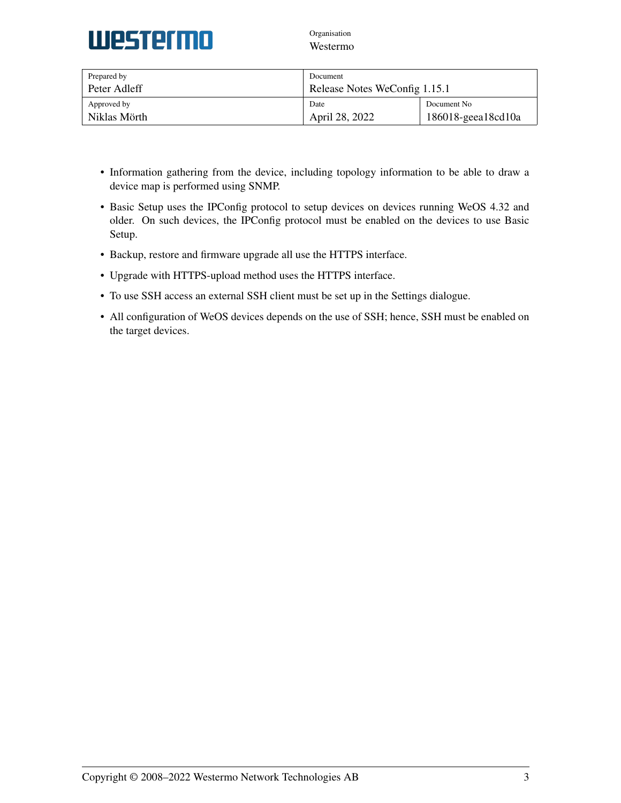

| Prepared by  | Document                      |                          |
|--------------|-------------------------------|--------------------------|
| Peter Adleff | Release Notes WeConfig 1.15.1 |                          |
| Approved by  | Date                          | Document No.             |
| Niklas Mörth | April 28, 2022                | $186018$ -geea $18cd10a$ |

- Information gathering from the device, including topology information to be able to draw a device map is performed using SNMP.
- Basic Setup uses the IPConfig protocol to setup devices on devices running WeOS 4.32 and older. On such devices, the IPConfig protocol must be enabled on the devices to use Basic Setup.
- Backup, restore and firmware upgrade all use the HTTPS interface.
- Upgrade with HTTPS-upload method uses the HTTPS interface.
- To use SSH access an external SSH client must be set up in the Settings dialogue.
- All configuration of WeOS devices depends on the use of SSH; hence, SSH must be enabled on the target devices.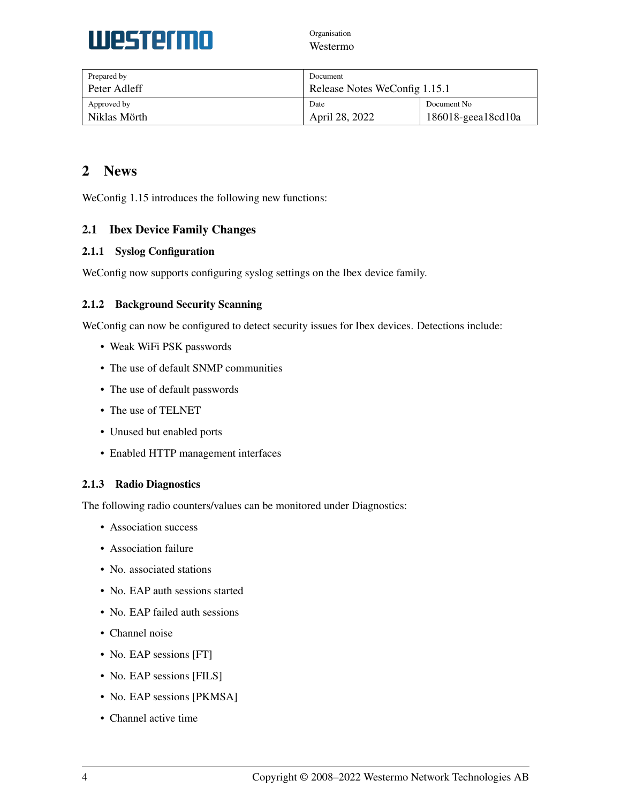

| Prepared by  | Document                      |                          |
|--------------|-------------------------------|--------------------------|
| Peter Adleff | Release Notes WeConfig 1.15.1 |                          |
| Approved by  | Date                          | Document No.             |
| Niklas Mörth | April 28, 2022                | $186018$ -geea $18cd10a$ |

# <span id="page-3-0"></span>2 News

WeConfig 1.15 introduces the following new functions:

### <span id="page-3-1"></span>2.1 Ibex Device Family Changes

#### <span id="page-3-2"></span>2.1.1 Syslog Configuration

WeConfig now supports configuring syslog settings on the Ibex device family.

### <span id="page-3-3"></span>2.1.2 Background Security Scanning

WeConfig can now be configured to detect security issues for Ibex devices. Detections include:

- Weak WiFi PSK passwords
- The use of default SNMP communities
- The use of default passwords
- The use of TELNET
- Unused but enabled ports
- Enabled HTTP management interfaces

#### <span id="page-3-4"></span>2.1.3 Radio Diagnostics

The following radio counters/values can be monitored under Diagnostics:

- Association success
- Association failure
- No. associated stations
- No. EAP auth sessions started
- No. EAP failed auth sessions
- Channel noise
- No. EAP sessions [FT]
- No. EAP sessions [FILS]
- No. EAP sessions [PKMSA]
- Channel active time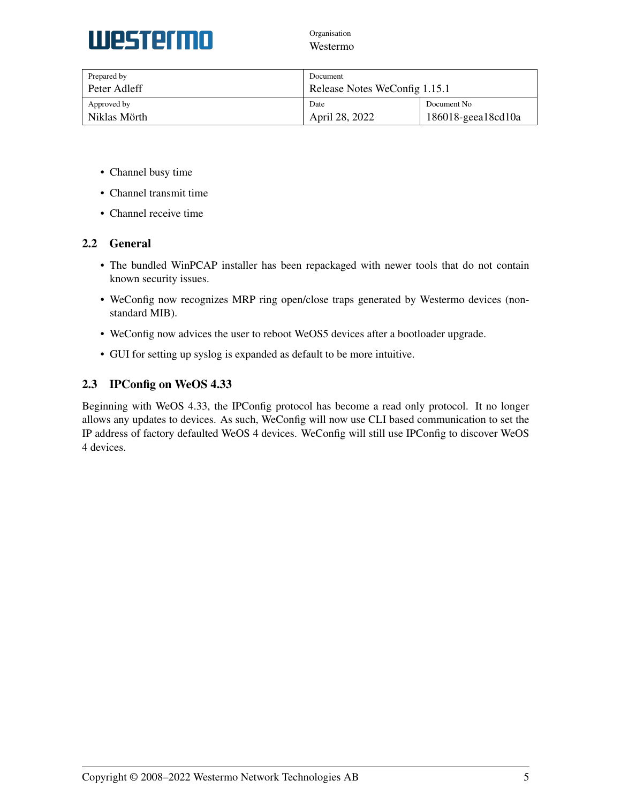

| Prepared by  | Document                      |                          |
|--------------|-------------------------------|--------------------------|
| Peter Adleff | Release Notes WeConfig 1.15.1 |                          |
| Approved by  | Date                          | Document No.             |
| Niklas Mörth | April 28, 2022                | $186018$ -geea $18cd10a$ |

- Channel busy time
- Channel transmit time
- Channel receive time

### <span id="page-4-0"></span>2.2 General

- The bundled WinPCAP installer has been repackaged with newer tools that do not contain known security issues.
- WeConfig now recognizes MRP ring open/close traps generated by Westermo devices (nonstandard MIB).
- WeConfig now advices the user to reboot WeOS5 devices after a bootloader upgrade.
- GUI for setting up syslog is expanded as default to be more intuitive.

### <span id="page-4-1"></span>2.3 IPConfig on WeOS 4.33

Beginning with WeOS 4.33, the IPConfig protocol has become a read only protocol. It no longer allows any updates to devices. As such, WeConfig will now use CLI based communication to set the IP address of factory defaulted WeOS 4 devices. WeConfig will still use IPConfig to discover WeOS 4 devices.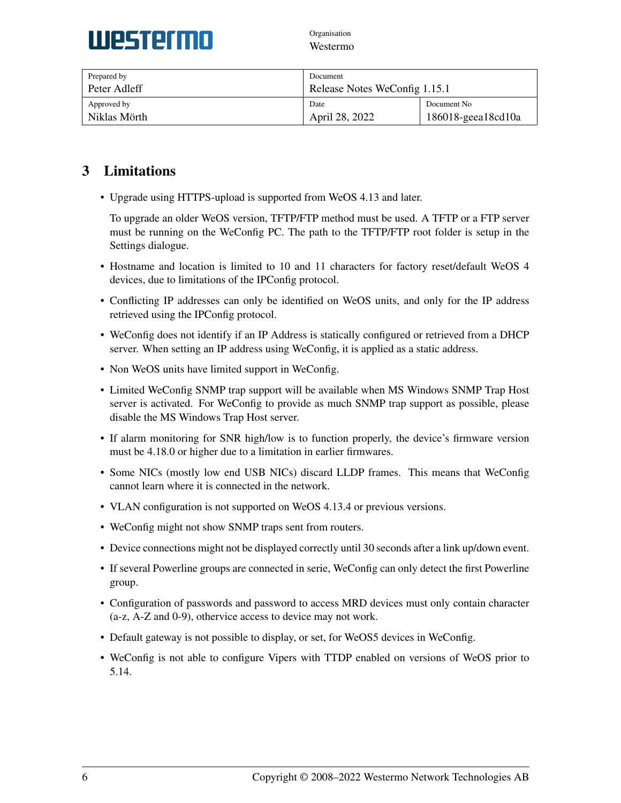

| Prepared by  | Document                      |                          |
|--------------|-------------------------------|--------------------------|
| Peter Adleff | Release Notes WeConfig 1.15.1 |                          |
| Approved by  | Date                          | Document No.             |
| Niklas Mörth | April 28, 2022                | $186018$ -geea $18cd10a$ |

# <span id="page-5-0"></span>3 Limitations

• Upgrade using HTTPS-upload is supported from WeOS 4.13 and later.

To upgrade an older WeOS version, TFTP/FTP method must be used. A TFTP or a FTP server must be running on the WeConfig PC. The path to the TFTP/FTP root folder is setup in the Settings dialogue.

- Hostname and location is limited to 10 and 11 characters for factory reset/default WeOS 4 devices, due to limitations of the IPConfig protocol.
- Conflicting IP addresses can only be identified on WeOS units, and only for the IP address retrieved using the IPConfig protocol.
- WeConfig does not identify if an IP Address is statically configured or retrieved from a DHCP server. When setting an IP address using WeConfig, it is applied as a static address.
- Non WeOS units have limited support in WeConfig.
- Limited WeConfig SNMP trap support will be available when MS Windows SNMP Trap Host server is activated. For WeConfig to provide as much SNMP trap support as possible, please disable the MS Windows Trap Host server.
- If alarm monitoring for SNR high/low is to function properly, the device's firmware version must be 4.18.0 or higher due to a limitation in earlier firmwares.
- Some NICs (mostly low end USB NICs) discard LLDP frames. This means that WeConfig cannot learn where it is connected in the network.
- VLAN configuration is not supported on WeOS 4.13.4 or previous versions.
- WeConfig might not show SNMP traps sent from routers.
- Device connections might not be displayed correctly until 30 seconds after a link up/down event.
- If several Powerline groups are connected in serie, WeConfig can only detect the first Powerline group.
- Configuration of passwords and password to access MRD devices must only contain character (a-z, A-Z and 0-9), othervice access to device may not work.
- Default gateway is not possible to display, or set, for WeOS5 devices in WeConfig.
- WeConfig is not able to configure Vipers with TTDP enabled on versions of WeOS prior to 5.14.